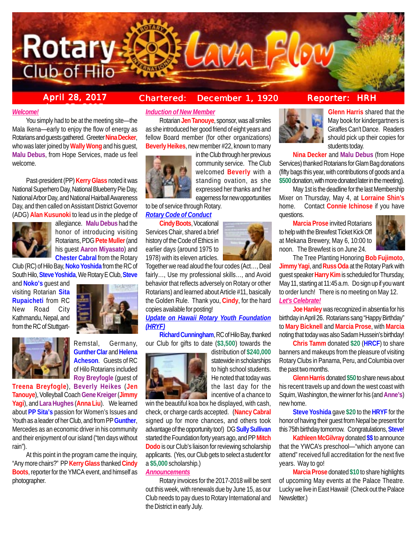

# **ber 25, 2015**

# **April 28, 2017 Chartered: December 1, 1920**

### *Welcome!*

You simply had to be at the meeting site—the Mala Ikena—early to enjoy the flow of energy as Rotarians and guests gathered. Greeter **Nina Decker**, who was later joined by **Wally Wong** and his guest, **Malu Debus**, from Hope Services, made us feel welcome.

Past-president (PP) **Kerry Glass** noted it was National Superhero Day, National Blueberry Pie Day, National Arbor Day, and National Hairball Awareness Day, and then called on Assistant District Governor (ADG) **Alan Kusunoki** to lead us in the pledge of



allegiance. **Malu Debus** had the honor of introducing visiting Rotarians, PDG **Pete Muller** (and his guest **Aaron Miyasato**) and **Chester Cabral** from the Rotary

Club (RC) of Hilo Bay, **Noko Yoshida** from the RC of South Hilo, **Steve Yoshida**, We Rotary E Club, **Steve**

and **Noko's** guest and visiting Rotarian **Sita Rupaicheti** from RC New Road City Kathmandu, Nepal, and from the RC of Stuttgart-





Remstal, Germany, **Gunther Clar** and **Helena Acheson**. Guests of RC of Hilo Rotarians included **Roy Breyfogle** (guest of

**Treena Breyfogle**), **Beverly Heikes** (**Jen Tanouye**), Volleyball Coach **Gene Kreiger** (**Jimmy Yagi**), and **Lara Hughes** (**Anna Liu**). We learned about **PP Sita's** passion for Women's Issues and Youth as a leader of her Club, and from PP **Gunther**, Mercedes as an economic driver in his community and their enjoyment of our island ("ten days without rain").

At this point in the program came the inquiry, "Any more chairs?" PP **Kerry Glass** thanked **Cindy Boots**, reporter for the YMCA event, and himself as photographer.

# *Induction of New Member*

Rotarian **Jen Tanouye**, sponsor, was all smiles as she introduced her good friend of eight years and fellow Board member (for other organizations) **Beverly Heikes**, new member #22, known to many



in the Club through her previous community service. The Club welcomed **Beverly** with a standing ovation, as she expressed her thanks and her eagerness for new opportunities

to be of service through Rotary. *Rotary Code of Conduct*

**Cindy Boots**, Vocational Services Chair, shared a brief history of the Code of Ethics in earlier days (around 1975 to 1978) with its eleven articles.

Together we read aloud the four codes (Act…, Deal fairly…, Use my professional skills…, and Avoid behavior that reflects adversely on Rotary or other Rotarians) and learned about Article #11, basically the Golden Rule. Thank you, **Cindy**, for the hard copies available for posting!

*Update on Hawaii Rotary Youth Foundation (HRYF)*

**Richard Cunningham**, RC of Hilo Bay, thanked our Club for gifts to date (**\$3,500**) towards the



distribution of **\$240,000** statewide in scholarships to high school students. He noted that today was the last day for the incentive of a chance to

win the beautiful koa box he displayed, with cash, check, or charge cards accepted. (**Nancy Cabral** signed up for more chances, and others took advantage of the opportunity too!) DG **Sully Sullivan** started the Foundation forty years ago, and PP **Mitch Dodo** is our Club's liaison for reviewing scholarship applicants. (Yes, our Club gets to select a student for a **\$5,000** scholarship.)

#### *Announcements*

Rotary invoices for the 2017-2018 will be sent out this week, with renewals due by June 15, as our Club needs to pay dues to Rotary International and the District in early July.



**Glenn Harris** shared that the May book for kindergartners is Giraffes Can't Dance. Readers should pick up their copies for students today.

**Nina Decker** and **Malu Debus** (from Hope Services) thanked Rotarians for Glam Bag donations (fifty bags this year, with contributions of goods and a **\$500** donation, with more donated later in the meeting).

May 1st is the deadline for the last Membership Mixer on Thursday, May 4, at **Lorraine Shin's** home. Contact **Connie Ichinose** if you have questions.

**Marcia Prose** invited Rotarians to help with the Brewfest Ticket Kick Off at Mekana Brewery, May 6, 10:00 to noon. The Brewfest is on June 24.



The Tree Planting Honoring **Bob Fujimoto**, **Jimmy Yagi**, and **Russ Oda** at the Rotary Park with guest speaker **Harry Kim** is scheduled for Thursday, May 11, starting at 11:45 a.m. Do sign up if you want to order lunch! There is no meeting on May 12. *Let's Celebrate!*

**Joe Hanley** was recognized in absentia for his birthday in April 26. Rotarians sang "Happy Birthday" to **Mary Bicknell** and **Marcia Prose**, with **Marcia** noting that today was also Sadam Hussein's birthday!

**Chris Tamm** donated **\$20** (**HRCF**) to share banners and makeups from the pleasure of visiting Rotary Clubs in Panama, Peru, and Columbia over the past two months.

**Glenn Harris** donated **\$50** to share news about his recent travels up and down the west coast with Squim, Washington, the winner for his (and **Anne's**) new home.

**Steve Yoshida** gave **\$20** to the **HRYF** for the honor of having their guest from Nepal be present for this 75th birthday tomorrow. Congratulations, **Steve**!

**Kathleen McGilvray** donated **\$\$** to announce that the YWCA's preschool—"which anyone can attend" received full accreditation for the next five years. Way to go!

**Marcia Prose** donated **\$10** to share highlights of upcoming May events at the Palace Theatre. Lucky we live in East Hawaii! (Check out the Palace Newsletter.)